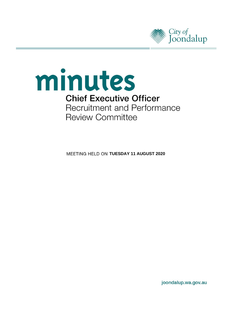



**MEETING HELD ON TUESDAY 11 AUGUST 2020** 

joondalup.wa.gov.au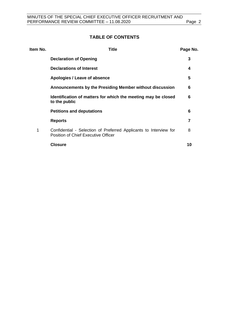# **TABLE OF CONTENTS**

| Item No. | <b>Title</b>                                                                                                    | Page No. |
|----------|-----------------------------------------------------------------------------------------------------------------|----------|
|          | <b>Declaration of Opening</b>                                                                                   | 3        |
|          | <b>Declarations of Interest</b>                                                                                 | 4        |
|          | Apologies / Leave of absence                                                                                    | 5        |
|          | Announcements by the Presiding Member without discussion                                                        | 6        |
|          | Identification of matters for which the meeting may be closed<br>to the public                                  | 6        |
|          | <b>Petitions and deputations</b>                                                                                | 6        |
|          | <b>Reports</b>                                                                                                  | 7        |
| 1        | Confidential - Selection of Preferred Applicants to Interview for<br><b>Position of Chief Executive Officer</b> | 8        |
|          | <b>Closure</b>                                                                                                  | 10       |
|          |                                                                                                                 |          |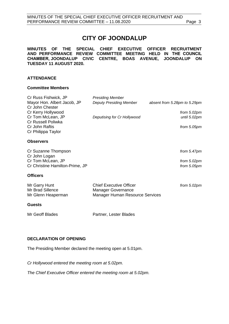# **CITY OF JOONDALUP**

**MINUTES OF THE SPECIAL CHIEF EXECUTIVE OFFICER RECRUITMENT AND PERFORMANCE REVIEW COMMITTEE MEETING HELD IN THE COUNCIL CHAMBER, JOONDALUP CIVIC CENTRE, BOAS AVENUE, JOONDALUP ON TUESDAY 11 AUGUST 2020.** 

## **ATTENDANCE**

#### **Committee Members**

| Cr Russ Fishwick, JP            | <b>Presiding Member</b>        |                              |
|---------------------------------|--------------------------------|------------------------------|
| Mayor Hon. Albert Jacob, JP     | <b>Deputy Presiding Member</b> | absent from 5.28pm to 5.29pm |
| Cr John Chester                 |                                |                              |
| Cr Kerry Hollywood              |                                | from $5.02 \text{pm}$        |
| Cr Tom McLean, JP               | Deputising for Cr Hollywood    | until 5.02pm                 |
| Cr Russell Poliwka              |                                |                              |
| Cr John Raftis                  |                                | from 5.05pm                  |
| Cr Philippa Taylor              |                                |                              |
| <b>Observers</b>                |                                |                              |
| Cr Suzanne Thompson             |                                | from $5.47$ pm               |
| Cr John Logan                   |                                |                              |
| Cr Tom McLean, JP               |                                | from $5.02 \text{pm}$        |
| Cr Christine Hamilton-Prime, JP |                                | from $5.05pm$                |
|                                 |                                |                              |
| <b>Officers</b>                 |                                |                              |
|                                 |                                |                              |

| $\mathbf{A}$       |                                 |             |
|--------------------|---------------------------------|-------------|
| Mr Glenn Heaperman | Manager Human Resource Services |             |
| Mr Brad Sillence   | Manager Governance              |             |
| Mr Garry Hunt      | <b>Chief Executive Officer</b>  | from 5.02pm |

#### **Guests**

Mr Geoff Blades Partner, Lester Blades

# <span id="page-2-0"></span>**DECLARATION OF OPENING**

The Presiding Member declared the meeting open at 5.01pm.

*Cr Hollywood entered the meeting room at 5.02pm.*

*The Chief Executive Officer entered the meeting room at 5.02pm.*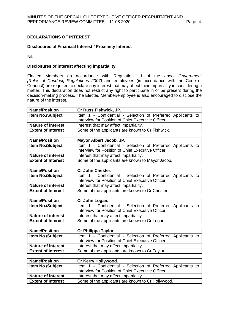## <span id="page-3-0"></span>**DECLARATIONS OF INTEREST**

#### **Disclosures of Financial Interest / Proximity Interest**

Nil.

#### **Disclosures of interest affecting impartiality**

Elected Members (in accordance with Regulation 11 of the *Local Government [Rules of Conduct] Regulations 2007)* and employees (in accordance with the Code of Conduct) are required to declare any interest that may affect their impartiality in considering a matter. This declaration does not restrict any right to participate in or be present during the decision-making process. The Elected Member/employee is also encouraged to disclose the nature of the interest.

| <b>Name/Position</b>      | <b>Cr Russ Fishwick, JP.</b>                                 |
|---------------------------|--------------------------------------------------------------|
| <b>Item No./Subject</b>   | Item 1 - Confidential - Selection of Preferred Applicants to |
|                           | Interview for Position of Chief Executive Officer.           |
| <b>Nature of interest</b> | Interest that may affect impartiality.                       |
| <b>Extent of Interest</b> | Some of the applicants are known to Cr Fishwick.             |

| <b>Name/Position</b>      | Mayor Albert Jacob, JP.                                      |
|---------------------------|--------------------------------------------------------------|
| <b>Item No./Subject</b>   | Item 1 - Confidential - Selection of Preferred Applicants to |
|                           | Interview for Position of Chief Executive Officer.           |
| <b>Nature of interest</b> | Interest that may affect impartiality.                       |
| <b>Extent of Interest</b> | Some of the applicants are known to Mayor Jacob.             |

| <b>Name/Position</b>      | <b>Cr John Chester.</b>                                      |
|---------------------------|--------------------------------------------------------------|
| <b>Item No./Subject</b>   | Item 1 - Confidential - Selection of Preferred Applicants to |
|                           | Interview for Position of Chief Executive Officer.           |
| <b>Nature of interest</b> | Interest that may affect impartiality.                       |
| <b>Extent of Interest</b> | Some of the applicants are known to Cr Chester.              |

| <b>Name/Position</b>      | Cr John Logan.                                               |
|---------------------------|--------------------------------------------------------------|
| <b>Item No./Subject</b>   | Item 1 - Confidential - Selection of Preferred Applicants to |
|                           | Interview for Position of Chief Executive Officer.           |
| <b>Nature of interest</b> | Interest that may affect impartiality.                       |
| <b>Extent of Interest</b> | Some of the applicants are known to Cr Logan.                |

| <b>Name/Position</b>      | Cr Philippa Taylor.                                                                                                |
|---------------------------|--------------------------------------------------------------------------------------------------------------------|
| <b>Item No./Subject</b>   | Item 1 - Confidential - Selection of Preferred Applicants to<br>Interview for Position of Chief Executive Officer. |
| <b>Nature of interest</b> | Interest that may affect impartiality.                                                                             |
| <b>Extent of Interest</b> | Some of the applicants are known to Cr Taylor.                                                                     |

| <b>Name/Position</b>      | <b>Cr Kerry Hollywood.</b>                                   |
|---------------------------|--------------------------------------------------------------|
| <b>Item No./Subject</b>   | Item 1 - Confidential - Selection of Preferred Applicants to |
|                           | Interview for Position of Chief Executive Officer.           |
| <b>Nature of interest</b> | Interest that may affect impartiality.                       |
| <b>Extent of Interest</b> | Some of the applicants are known to Cr Hollywood.            |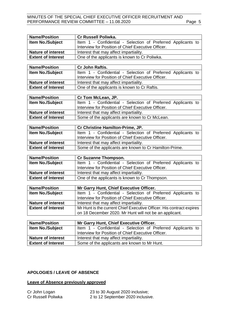## MINUTES OF THE SPECIAL CHIEF EXECUTIVE OFFICER RECRUITMENT AND PERFORMANCE REVIEW COMMITTEE - 11.08.2020 Page 5

| <b>Name/Position</b>      | Cr Russell Poliwka.                                                  |
|---------------------------|----------------------------------------------------------------------|
| Item No./Subject          | Item 1 - Confidential - Selection of Preferred Applicants to         |
|                           | Interview for Position of Chief Executive Officer.                   |
| <b>Nature of interest</b> | Interest that may affect impartiality.                               |
| <b>Extent of Interest</b> | One of the applicants is known to Cr Poliwka.                        |
|                           |                                                                      |
| <b>Name/Position</b>      | Cr John Raftis.                                                      |
| <b>Item No./Subject</b>   | Item 1 - Confidential - Selection of Preferred Applicants to         |
|                           | Interview for Position of Chief Executive Officer.                   |
| <b>Nature of interest</b> | Interest that may affect impartiality.                               |
| <b>Extent of Interest</b> | One of the applicants is known to Cr Raftis.                         |
|                           |                                                                      |
| <b>Name/Position</b>      | Cr Tom McLean, JP.                                                   |
| <b>Item No./Subject</b>   | Item 1 - Confidential - Selection of Preferred Applicants to         |
|                           | Interview for Position of Chief Executive Officer.                   |
| <b>Nature of interest</b> | Interest that may affect impartiality.                               |
| <b>Extent of Interest</b> | Some of the applicants are known to Cr McLean.                       |
|                           |                                                                      |
| <b>Name/Position</b>      | Cr Christine Hamilton-Prime, JP.                                     |
| <b>Item No./Subject</b>   | Item 1 - Confidential - Selection of Preferred Applicants to         |
|                           | Interview for Position of Chief Executive Officer.                   |
| <b>Nature of interest</b> | Interest that may affect impartiality.                               |
| <b>Extent of Interest</b> | Some of the applicants are known to Cr Hamilton-Prime.               |
|                           |                                                                      |
| <b>Name/Position</b>      | Cr Suzanne Thompson.                                                 |
| <b>Item No./Subject</b>   | Item 1 - Confidential - Selection of Preferred Applicants to         |
|                           | Interview for Position of Chief Executive Officer.                   |
| <b>Nature of interest</b> | Interest that may affect impartiality.                               |
| <b>Extent of Interest</b> | One of the applicants is known to Cr Thompson.                       |
|                           |                                                                      |
| <b>Name/Position</b>      | Mr Garry Hunt, Chief Executive Officer.                              |
| <b>Item No./Subject</b>   | Item 1 - Confidential - Selection of Preferred Applicants to         |
|                           | Interview for Position of Chief Executive Officer.                   |
| <b>Nature of interest</b> | Interest that may affect impartiality.                               |
| <b>Extent of Interest</b> | Mr Hunt is the current Chief Executive Officer. His contract expires |
|                           | on 18 December 2020. Mr Hunt will not be an applicant.               |
|                           |                                                                      |
| <b>Name/Position</b>      | Mr Garry Hunt, Chief Executive Officer.                              |
| <b>Item No./Subject</b>   | Item 1 - Confidential - Selection of Preferred Applicants to         |
|                           | Interview for Position of Chief Executive Officer.                   |
| <b>Nature of interest</b> | Interest that may affect impartiality.                               |
| <b>Extent of Interest</b> | Some of the applicants are known to Mr Hunt.                         |

#### <span id="page-4-0"></span>**APOLOGIES / LEAVE OF ABSENCE**

#### **Leave of Absence previously approved**

| Cr John Logan      |  |
|--------------------|--|
| Cr Russell Poliwka |  |

23 to 30 August 2020 inclusive; 2 to 12 September 2020 inclusive.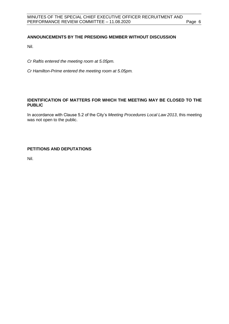# <span id="page-5-0"></span>**ANNOUNCEMENTS BY THE PRESIDING MEMBER WITHOUT DISCUSSION**

Nil.

*Cr Raftis entered the meeting room at 5.05pm.*

*Cr Hamilton-Prime entered the meeting room at 5.05pm.*

## <span id="page-5-1"></span>**IDENTIFICATION OF MATTERS FOR WHICH THE MEETING MAY BE CLOSED TO THE PUBLIC**

In accordance with Clause 5.2 of the City's *Meeting Procedures Local Law 2013*, this meeting was not open to the public.

## <span id="page-5-2"></span>**PETITIONS AND DEPUTATIONS**

Nil.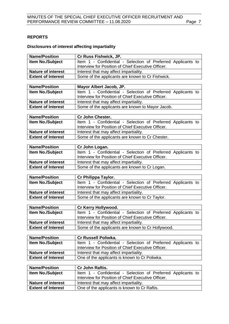# <span id="page-6-0"></span>**REPORTS**

# **Disclosures of interest affecting impartiality**

| <b>Name/Position</b>                                   | Cr Russ Fishwick, JP.                                                                                              |
|--------------------------------------------------------|--------------------------------------------------------------------------------------------------------------------|
| Item No./Subject                                       | Item 1 - Confidential - Selection of Preferred Applicants to                                                       |
|                                                        | Interview for Position of Chief Executive Officer.                                                                 |
| <b>Nature of interest</b>                              | Interest that may affect impartiality.                                                                             |
| <b>Extent of Interest</b>                              | Some of the applicants are known to Cr Fishwick.                                                                   |
|                                                        |                                                                                                                    |
| <b>Name/Position</b>                                   | Mayor Albert Jacob, JP.                                                                                            |
| Item No./Subject                                       | Item 1 - Confidential - Selection of Preferred Applicants to                                                       |
|                                                        | Interview for Position of Chief Executive Officer.                                                                 |
| <b>Nature of interest</b>                              | Interest that may affect impartiality.                                                                             |
| <b>Extent of Interest</b>                              | Some of the applicants are known to Mayor Jacob.                                                                   |
|                                                        |                                                                                                                    |
| <b>Name/Position</b>                                   | Cr John Chester.                                                                                                   |
| Item No./Subject                                       | Item 1 - Confidential - Selection of Preferred Applicants to<br>Interview for Position of Chief Executive Officer. |
| <b>Nature of interest</b>                              | Interest that may affect impartiality.                                                                             |
| <b>Extent of Interest</b>                              | Some of the applicants are known to Cr Chester.                                                                    |
|                                                        |                                                                                                                    |
| <b>Name/Position</b>                                   | Cr John Logan.                                                                                                     |
| <b>Item No./Subject</b>                                | Item 1 - Confidential - Selection of Preferred Applicants to                                                       |
|                                                        | Interview for Position of Chief Executive Officer.                                                                 |
| <b>Nature of interest</b>                              | Interest that may affect impartiality.                                                                             |
| <b>Extent of Interest</b>                              | Some of the applicants are known to Cr Logan.                                                                      |
|                                                        |                                                                                                                    |
| <b>Name/Position</b>                                   | Cr Philippa Taylor.                                                                                                |
| Item No./Subject                                       | Item 1 - Confidential - Selection of Preferred Applicants to                                                       |
|                                                        | Interview for Position of Chief Executive Officer.                                                                 |
| <b>Nature of interest</b>                              | Interest that may affect impartiality.                                                                             |
| <b>Extent of Interest</b>                              | Some of the applicants are known to Cr Taylor.                                                                     |
|                                                        |                                                                                                                    |
| <b>Name/Position</b>                                   | Cr Kerry Hollywood.                                                                                                |
| Item No./Subject                                       | Item 1 - Confidential - Selection of Preferred Applicants to                                                       |
|                                                        | Interview for Position of Chief Executive Officer.                                                                 |
| <b>Nature of interest</b><br><b>Extent of Interest</b> | Interest that may affect impartiality.                                                                             |
|                                                        | Some of the applicants are known to Cr Hollywood.                                                                  |
| <b>Name/Position</b>                                   | Cr Russell Poliwka.                                                                                                |
| Item No./Subject                                       | Item 1 - Confidential - Selection of Preferred Applicants to                                                       |
|                                                        | Interview for Position of Chief Executive Officer.                                                                 |
| <b>Nature of interest</b>                              | Interest that may affect impartiality.                                                                             |
| <b>Extent of Interest</b>                              | One of the applicants is known to Cr Poliwka.                                                                      |
|                                                        |                                                                                                                    |
| <b>Name/Position</b>                                   | Cr John Raftis.                                                                                                    |
| Item No./Subject                                       | Item 1 - Confidential - Selection of Preferred Applicants to                                                       |
|                                                        | Interview for Position of Chief Executive Officer.                                                                 |
|                                                        |                                                                                                                    |
| <b>Nature of interest</b>                              | Interest that may affect impartiality.<br>One of the applicants is known to Cr Raftis.                             |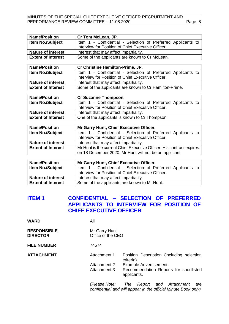# MINUTES OF THE SPECIAL CHIEF EXECUTIVE OFFICER RECRUITMENT AND<br>PERFORMANCE REVIEW COMMITTEE – 11.08.2020 PERFORMANCE REVIEW COMMITTEE - 11.08.2020

| <b>Name/Position</b>      | Cr Tom McLean, JP.                                                   |  |  |
|---------------------------|----------------------------------------------------------------------|--|--|
| <b>Item No./Subject</b>   | Item 1 - Confidential - Selection of Preferred Applicants to         |  |  |
|                           | Interview for Position of Chief Executive Officer.                   |  |  |
| <b>Nature of interest</b> | Interest that may affect impartiality.                               |  |  |
| <b>Extent of Interest</b> | Some of the applicants are known to Cr McLean.                       |  |  |
|                           |                                                                      |  |  |
| <b>Name/Position</b>      | Cr Christine Hamilton-Prime, JP.                                     |  |  |
| Item No./Subject          | Item 1 - Confidential - Selection of Preferred Applicants to         |  |  |
|                           | Interview for Position of Chief Executive Officer.                   |  |  |
| <b>Nature of interest</b> | Interest that may affect impartiality.                               |  |  |
| <b>Extent of Interest</b> | Some of the applicants are known to Cr Hamilton-Prime.               |  |  |
|                           |                                                                      |  |  |
| <b>Name/Position</b>      | Cr Suzanne Thompson.                                                 |  |  |
| Item No./Subject          | Item 1 - Confidential - Selection of Preferred Applicants to         |  |  |
|                           | Interview for Position of Chief Executive Officer.                   |  |  |
| <b>Nature of interest</b> | Interest that may affect impartiality.                               |  |  |
| <b>Extent of Interest</b> | One of the applicants is known to Cr Thompson.                       |  |  |
|                           |                                                                      |  |  |
| <b>Name/Position</b>      | Mr Garry Hunt, Chief Executive Officer.                              |  |  |
| <b>Item No./Subject</b>   | Item 1 - Confidential - Selection of Preferred Applicants to         |  |  |
|                           | Interview for Position of Chief Executive Officer.                   |  |  |
| <b>Nature of interest</b> | Interest that may affect impartiality.                               |  |  |
| <b>Extent of Interest</b> | Mr Hunt is the current Chief Executive Officer. His contract expires |  |  |
|                           | on 18 December 2020. Mr Hunt will not be an applicant.               |  |  |
|                           |                                                                      |  |  |
| <b>Name/Position</b>      | Mr Garry Hunt, Chief Executive Officer.                              |  |  |
| Item No./Subject          | Item 1 - Confidential - Selection of Preferred Applicants to         |  |  |
|                           | Interview for Position of Chief Executive Officer.                   |  |  |
| <b>Nature of interest</b> | Interest that may affect impartiality.                               |  |  |
| <b>Extent of Interest</b> | Some of the applicants are known to Mr Hunt.                         |  |  |

# <span id="page-7-0"></span>**ITEM 1 CONFIDENTIAL – SELECTION OF PREFERRED APPLICANTS TO INTERVIEW FOR POSITION OF CHIEF EXECUTIVE OFFICER**

| <b>WARD</b>                           | All                                |                                                                                                       |
|---------------------------------------|------------------------------------|-------------------------------------------------------------------------------------------------------|
| <b>RESPONSIBLE</b><br><b>DIRECTOR</b> | Mr Garry Hunt<br>Office of the CEO |                                                                                                       |
| <b>FILE NUMBER</b>                    | 74574                              |                                                                                                       |
| ATTACHMENT                            | Attachment 1                       | Position Description (including selection<br>criteria).                                               |
|                                       | Attachment 2                       | Example Advertisement.                                                                                |
|                                       | Attachment 3                       | Recommendation Reports for shortlisted<br>applicants.                                                 |
|                                       | (Please Note:                      | Report and Attachment<br>The<br>are<br>confidential and will appear in the official Minute Book only) |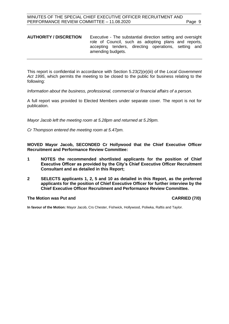#### **AUTHORITY / DISCRETION** Executive - The substantial direction setting and oversight role of Council, such as adopting plans and reports, accepting tenders, directing operations, setting and amending budgets.

This report is confidential in accordance with Section 5.23(2)(e)(iii) of the *Local Government Act 1995*, which permits the meeting to be closed to the public for business relating to the following:

*Information about the business, professional, commercial or financial affairs of a person.*

A full report was provided to Elected Members under separate cover. The report is not for publication.

*Mayor Jacob left the meeting room at 5.28pm and returned at 5.29pm.*

*Cr Thompson entered the meeting room at 5.47pm.*

**MOVED Mayor Jacob, SECONDED Cr Hollywood that the Chief Executive Officer Recruitment and Performance Review Committee:**

- **1 NOTES the recommended shortlisted applicants for the position of Chief Executive Officer as provided by the City's Chief Executive Officer Recruitment Consultant and as detailed in this Report;**
- **2 SELECTS applicants 1, 2, 5 and 10 as detailed in this Report, as the preferred applicants for the position of Chief Executive Officer for further interview by the Chief Executive Officer Recruitment and Performance Review Committee.**

#### **The Motion was Put and CARRIED (7/0)**

**In favour of the Motion:** Mayor Jacob, Crs Chester, Fishwick, Hollywood, Poliwka, Raftis and Taylor.